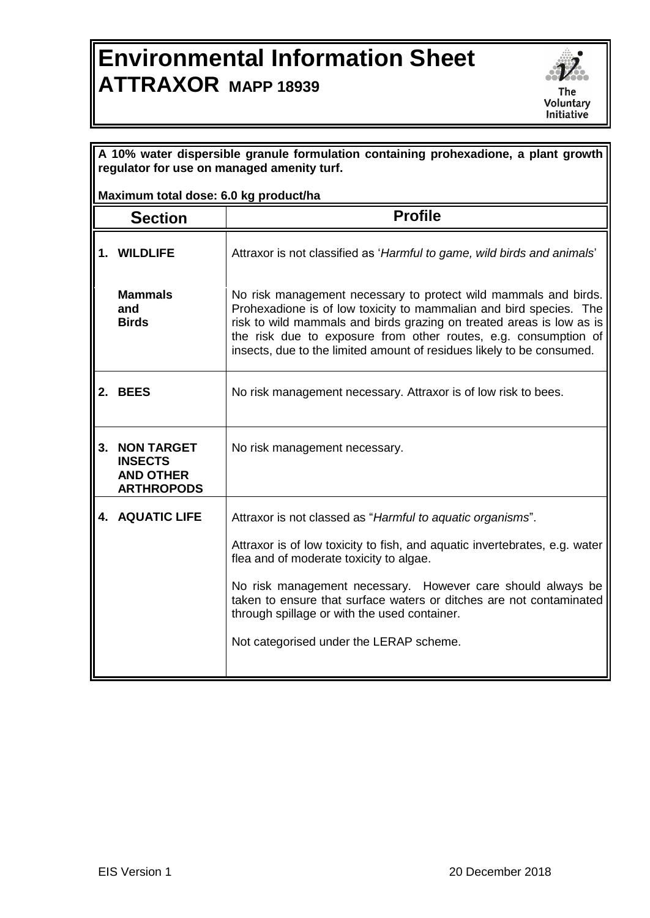## **Environmental Information Sheet ATTRAXOR MAPP 18939**



| A 10% water dispersible granule formulation containing prohexadione, a plant growth<br>regulator for use on managed amenity turf. |                                                                          |                                                                                                                                                                                                                                                                                                                                                                                                                      |  |
|-----------------------------------------------------------------------------------------------------------------------------------|--------------------------------------------------------------------------|----------------------------------------------------------------------------------------------------------------------------------------------------------------------------------------------------------------------------------------------------------------------------------------------------------------------------------------------------------------------------------------------------------------------|--|
|                                                                                                                                   | Maximum total dose: 6.0 kg product/ha                                    |                                                                                                                                                                                                                                                                                                                                                                                                                      |  |
|                                                                                                                                   | <b>Section</b>                                                           | <b>Profile</b>                                                                                                                                                                                                                                                                                                                                                                                                       |  |
|                                                                                                                                   | 1. WILDLIFE                                                              | Attraxor is not classified as 'Harmful to game, wild birds and animals'                                                                                                                                                                                                                                                                                                                                              |  |
|                                                                                                                                   | <b>Mammals</b><br>and<br><b>Birds</b>                                    | No risk management necessary to protect wild mammals and birds.<br>Prohexadione is of low toxicity to mammalian and bird species. The<br>risk to wild mammals and birds grazing on treated areas is low as is<br>the risk due to exposure from other routes, e.g. consumption of<br>insects, due to the limited amount of residues likely to be consumed.                                                            |  |
|                                                                                                                                   | 2. BEES                                                                  | No risk management necessary. Attraxor is of low risk to bees.                                                                                                                                                                                                                                                                                                                                                       |  |
|                                                                                                                                   | 3. NON TARGET<br><b>INSECTS</b><br><b>AND OTHER</b><br><b>ARTHROPODS</b> | No risk management necessary.                                                                                                                                                                                                                                                                                                                                                                                        |  |
|                                                                                                                                   | <b>4. AQUATIC LIFE</b>                                                   | Attraxor is not classed as "Harmful to aquatic organisms".<br>Attraxor is of low toxicity to fish, and aquatic invertebrates, e.g. water<br>flea and of moderate toxicity to algae.<br>No risk management necessary. However care should always be<br>taken to ensure that surface waters or ditches are not contaminated<br>through spillage or with the used container.<br>Not categorised under the LERAP scheme. |  |